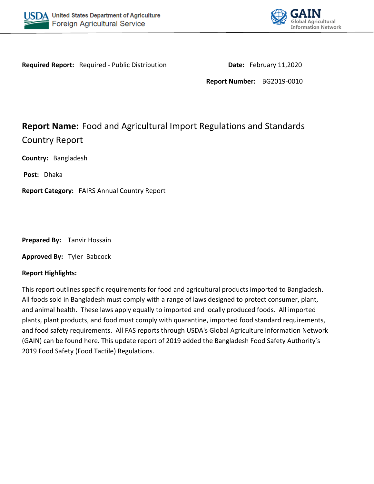



**Required Report:** Required - Public Distribution **Date:** February 11,2020

**Report Number:** BG2019-0010

# **Report Name:** Food and Agricultural Import Regulations and Standards Country Report

**Country:** Bangladesh

**Post:** Dhaka

**Report Category:** FAIRS Annual Country Report

**Prepared By:** Tanvir Hossain

**Approved By:** Tyler Babcock

# **Report Highlights:**

This report outlines specific requirements for food and agricultural products imported to Bangladesh. All foods sold in Bangladesh must comply with a range of laws designed to protect consumer, plant, and animal health. These laws apply equally to imported and locally produced foods. All imported plants, plant products, and food must comply with quarantine, imported food standard requirements, and food safety requirements. All FAS reports through USDA's Global Agriculture Information Network (GAIN) can be found here. This update report of 2019 added the Bangladesh Food Safety Authority's 2019 Food Safety (Food Tactile) Regulations.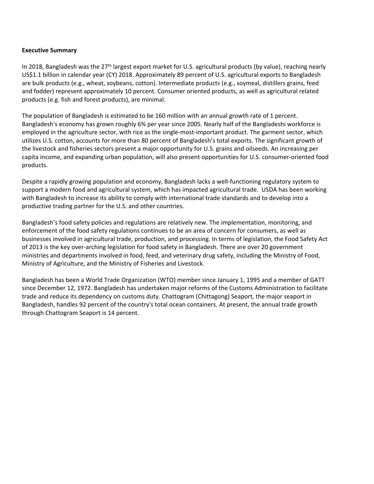#### **Executive Summary**

In 2018, Bangladesh was the 27<sup>th</sup> largest export market for U.S. agricultural products (by value), reaching nearly US\$1.1 billion in calendar year (CY) 2018. Approximately 89 percent of U.S. agricultural exports to Bangladesh are bulk products (e.g., wheat, soybeans, cotton). Intermediate products (e.g., soymeal, distillers grains, feed and fodder) represent approximately 10 percent. Consumer oriented products, as well as agricultural related products (e.g. fish and forest products), are minimal.

The population of Bangladesh is estimated to be 160 million with an annual growth rate of 1 percent. Bangladesh's economy has grown roughly 6% per year since 2005. Nearly half of the Bangladeshi workforce is employed in the agriculture sector, with rice as the single-most-important product. The garment sector, which utilizes U.S. cotton, accounts for more than 80 percent of Bangladesh's total exports. The significant growth of the livestock and fisheries sectors present a major opportunity for U.S. grains and oilseeds. An increasing per capita income, and expanding urban population, will also present opportunities for U.S. consumer-oriented food products.

Despite a rapidly growing population and economy, Bangladesh lacks a well-functioning regulatory system to support a modern food and agricultural system, which has impacted agricultural trade. USDA has been working with Bangladesh to increase its ability to comply with international trade standards and to develop into a productive trading partner for the U.S. and other countries.

Bangladesh's food safety policies and regulations are relatively new. The implementation, monitoring, and enforcement of the food safety regulations continues to be an area of concern for consumers, as well as businesses involved in agricultural trade, production, and processing. In terms of legislation, the Food Safety Act of 2013 is the key over-arching legislation for food safety in Bangladesh. There are over 20 government ministries and departments involved in food, feed, and veterinary drug safety, including the Ministry of Food, Ministry of Agriculture, and the Ministry of Fisheries and Livestock.

Bangladesh has been a World Trade Organization (WTO) member since January 1, 1995 and a member of GATT since December 12, 1972. Bangladesh has undertaken major reforms of the Customs Administration to facilitate trade and reduce its dependency on customs duty. Chattogram (Chittagong) Seaport, the major seaport in Bangladesh, handles 92 percent of the country's total ocean containers. At present, the annual trade growth through Chattogram Seaport is 14 percent.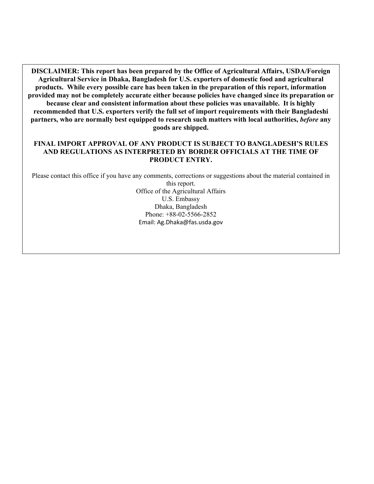**DISCLAIMER: This report has been prepared by the Office of Agricultural Affairs, USDA/Foreign Agricultural Service in Dhaka, Bangladesh for U.S. exporters of domestic food and agricultural products. While every possible care has been taken in the preparation of this report, information provided may not be completely accurate either because policies have changed since its preparation or because clear and consistent information about these policies was unavailable. It is highly recommended that U.S. exporters verify the full set of import requirements with their Bangladeshi partners, who are normally best equipped to research such matters with local authorities,** *before* **any goods are shipped.**

#### **FINAL IMPORT APPROVAL OF ANY PRODUCT IS SUBJECT TO BANGLADESH'S RULES AND REGULATIONS AS INTERPRETED BY BORDER OFFICIALS AT THE TIME OF PRODUCT ENTRY.**

Please contact this office if you have any comments, corrections or suggestions about the material contained in this report. Office of the Agricultural Affairs U.S. Embassy Dhaka, Bangladesh Phone: +88-02-5566-2852 Email: Ag.Dhaka@fas.usda.gov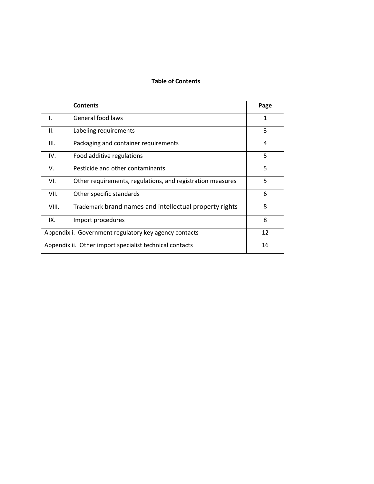#### **Table of Contents**

|       | <b>Contents</b>                                            | Page |
|-------|------------------------------------------------------------|------|
| I.    | General food laws                                          | 1    |
| II.   | Labeling requirements                                      | 3    |
| III.  | Packaging and container requirements                       | 4    |
| IV.   | Food additive regulations                                  | 5    |
| V.    | Pesticide and other contaminants                           | 5    |
| VI.   | Other requirements, regulations, and registration measures | 5    |
| VII.  | Other specific standards                                   | 6    |
| VIII. | Trademark brand names and intellectual property rights     | 8    |
| IX.   | Import procedures                                          | 8    |
|       | Appendix i. Government regulatory key agency contacts      | 12   |
|       | Appendix ii. Other import specialist technical contacts    | 16   |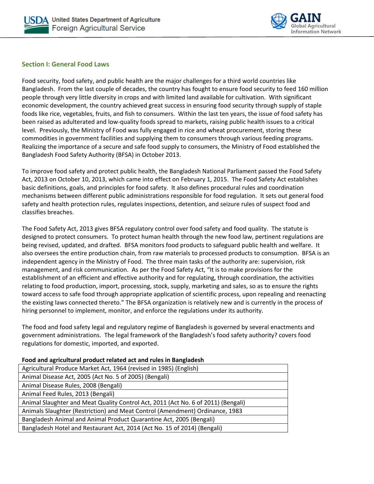



#### **Section I: General Food Laws**

Food security, food safety, and public health are the major challenges for a third world countries like Bangladesh. From the last couple of decades, the country has fought to ensure food security to feed 160 million people through very little diversity in crops and with limited land available for cultivation. With significant economic development, the country achieved great success in ensuring food security through supply of staple foods like rice, vegetables, fruits, and fish to consumers. Within the last ten years, the issue of food safety has been raised as adulterated and low-quality foods spread to markets, raising public health issues to a critical level. Previously, the Ministry of Food was fully engaged in rice and wheat procurement, storing these commodities in government facilities and supplying them to consumers through various feeding programs. Realizing the importance of a secure and safe food supply to consumers, the Ministry of Food established the Bangladesh Food Safety Authority (BFSA) in October 2013.

To improve food safety and protect public health, the Bangladesh National Parliament passed the Food Safety Act, 2013 on October 10, 2013, which came into effect on February 1, 2015. The Food Safety Act establishes basic definitions, goals, and principles for food safety. It also defines procedural rules and coordination mechanisms between different public administrations responsible for food regulation. It sets out general food safety and health protection rules, regulates inspections, detention, and seizure rules of suspect food and classifies breaches.

The Food Safety Act, 2013 gives BFSA regulatory control over food safety and food quality. The statute is designed to protect consumers. To protect human health through the new food law, pertinent regulations are being revised, updated, and drafted. BFSA monitors food products to safeguard public health and welfare. It also oversees the entire production chain, from raw materials to processed products to consumption. BFSA is an independent agency in the Ministry of Food. The three main tasks of the authority are: supervision, risk management, and risk communication. As per the Food Safety Act, "It is to make provisions for the establishment of an efficient and effective authority and for regulating, through coordination, the activities relating to food production, import, processing, stock, supply, marketing and sales, so as to ensure the rights toward access to safe food through appropriate application of scientific process, upon repealing and reenacting the existing laws connected thereto." The BFSA organization is relatively new and is currently in the process of hiring personnel to implement, monitor, and enforce the regulations under its authority.

The food and food safety legal and regulatory regime of Bangladesh is governed by several enactments and government administrations. The legal framework of the Bangladesh's food safety authority? covers food regulations for domestic, imported, and exported.

| Pood and agricultural product related act and rules in Bangiadesh                 |
|-----------------------------------------------------------------------------------|
| Agricultural Produce Market Act, 1964 (revised in 1985) (English)                 |
| Animal Disease Act, 2005 (Act No. 5 of 2005) (Bengali)                            |
| Animal Disease Rules, 2008 (Bengali)                                              |
| Animal Feed Rules, 2013 (Bengali)                                                 |
| Animal Slaughter and Meat Quality Control Act, 2011 (Act No. 6 of 2011) (Bengali) |
| Animals Slaughter (Restriction) and Meat Control (Amendment) Ordinance, 1983      |
| Bangladesh Animal and Animal Product Quarantine Act, 2005 (Bengali)               |
| Bangladesh Hotel and Restaurant Act, 2014 (Act No. 15 of 2014) (Bengali)          |
|                                                                                   |

**Food and agricultural product related act and rules in Bangladesh**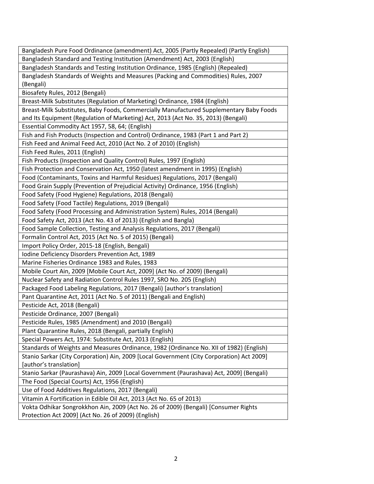| Bangladesh Pure Food Ordinance (amendment) Act, 2005 (Partly Repealed) (Partly English)   |
|-------------------------------------------------------------------------------------------|
| Bangladesh Standard and Testing Institution (Amendment) Act, 2003 (English)               |
| Bangladesh Standards and Testing Institution Ordinance, 1985 (English) (Repealed)         |
| Bangladesh Standards of Weights and Measures (Packing and Commodities) Rules, 2007        |
| (Bengali)                                                                                 |
| Biosafety Rules, 2012 (Bengali)                                                           |
| Breast-Milk Substitutes (Regulation of Marketing) Ordinance, 1984 (English)               |
| Breast-Milk Substitutes, Baby Foods, Commercially Manufactured Supplementary Baby Foods   |
| and Its Equipment (Regulation of Marketing) Act, 2013 (Act No. 35, 2013) (Bengali)        |
| Essential Commodity Act 1957, 58, 64; (English)                                           |
| Fish and Fish Products (Inspection and Control) Ordinance, 1983 (Part 1 and Part 2)       |
| Fish Feed and Animal Feed Act, 2010 (Act No. 2 of 2010) (English)                         |
| Fish Feed Rules, 2011 (English)                                                           |
| Fish Products (Inspection and Quality Control) Rules, 1997 (English)                      |
| Fish Protection and Conservation Act, 1950 (latest amendment in 1995) (English)           |
| Food (Contaminants, Toxins and Harmful Residues) Regulations, 2017 (Bengali)              |
| Food Grain Supply (Prevention of Prejudicial Activity) Ordinance, 1956 (English)          |
| Food Safety (Food Hygiene) Regulations, 2018 (Bengali)                                    |
| Food Safety (Food Tactile) Regulations, 2019 (Bengali)                                    |
| Food Safety (Food Processing and Administration System) Rules, 2014 (Bengali)             |
| Food Safety Act, 2013 (Act No. 43 of 2013) (English and Bangla)                           |
| Food Sample Collection, Testing and Analysis Regulations, 2017 (Bengali)                  |
| Formalin Control Act, 2015 (Act No. 5 of 2015) (Bengali)                                  |
| Import Policy Order, 2015-18 (English, Bengali)                                           |
| Iodine Deficiency Disorders Prevention Act, 1989                                          |
| Marine Fisheries Ordinance 1983 and Rules, 1983                                           |
| Mobile Court Ain, 2009 [Mobile Court Act, 2009] (Act No. of 2009) (Bengali)               |
| Nuclear Safety and Radiation Control Rules 1997, SRO No. 205 (English)                    |
| Packaged Food Labeling Regulations, 2017 (Bengali) [author's translation]                 |
| Pant Quarantine Act, 2011 (Act No. 5 of 2011) (Bengali and English)                       |
| Pesticide Act, 2018 (Bengali)                                                             |
| Pesticide Ordinance, 2007 (Bengali)                                                       |
| Pesticide Rules, 1985 (Amendment) and 2010 (Bengali)                                      |
| Plant Quarantine Rules, 2018 (Bengali, partially English)                                 |
| Special Powers Act, 1974: Substitute Act, 2013 (English)                                  |
| Standards of Weights and Measures Ordinance, 1982 (Ordinance No. XII of 1982) (English)   |
| Stanio Sarkar (City Corporation) Ain, 2009 [Local Government (City Corporation) Act 2009] |
| [author's translation]                                                                    |
| Stanio Sarkar (Paurashava) Ain, 2009 [Local Government (Paurashava) Act, 2009] (Bengali)  |
| The Food (Special Courts) Act, 1956 (English)                                             |
| Use of Food Additives Regulations, 2017 (Bengali)                                         |
| Vitamin A Fortification in Edible Oil Act, 2013 (Act No. 65 of 2013)                      |
| Vokta Odhikar Songrokkhon Ain, 2009 (Act No. 26 of 2009) (Bengali) [Consumer Rights       |
| Protection Act 2009] (Act No. 26 of 2009) (English)                                       |
|                                                                                           |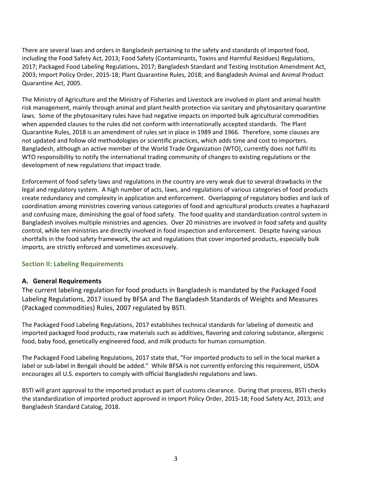There are several laws and orders in Bangladesh pertaining to the safety and standards of imported food, including the Food Safety Act, 2013; Food Safety (Contaminants, Toxins and Harmful Residues) Regulations, 2017; Packaged Food Labeling Regulations, 2017; Bangladesh Standard and Testing Institution Amendment Act, 2003; Import Policy Order, 2015-18; Plant Quarantine Rules, 2018; and Bangladesh Animal and Animal Product Quarantine Act, 2005.

The Ministry of Agriculture and the Ministry of Fisheries and Livestock are involved in plant and animal health risk management, mainly through animal and plant health protection via sanitary and phytosanitary quarantine laws. Some of the phytosanitary rules have had negative impacts on imported bulk agricultural commodities when appended clauses to the rules did not conform with internationally accepted standards. The Plant Quarantine Rules, 2018 is an amendment of rules set in place in 1989 and 1966. Therefore, some clauses are not updated and follow old methodologies or scientific practices, which adds time and cost to importers. Bangladesh, although an active member of the World Trade Organization (WTO), currently does not fulfil its WTO responsibility to notify the international trading community of changes to existing regulations or the development of new regulations that impact trade.

Enforcement of food safety laws and regulations in the country are very weak due to several drawbacks in the legal and regulatory system. A high number of acts, laws, and regulations of various categories of food products create redundancy and complexity in application and enforcement. Overlapping of regulatory bodies and lack of coordination among ministries covering various categories of food and agricultural products creates a haphazard and confusing maze, diminishing the goal of food safety. The food quality and standardization control system in Bangladesh involves multiple ministries and agencies. Over 20 ministries are involved in food safety and quality control, while ten ministries are directly involved in food inspection and enforcement. Despite having various shortfalls in the food safety framework, the act and regulations that cover imported products, especially bulk imports, are strictly enforced and sometimes excessively.

# **Section II: Labeling Requirements**

# **A. General Requirements**

The current labeling regulation for food products in Bangladesh is mandated by the Packaged Food Labeling Regulations, 2017 issued by BFSA and The Bangladesh Standards of Weights and Measures (Packaged commodities) Rules, 2007 regulated by BSTI.

The Packaged Food Labeling Regulations, 2017 establishes technical standards for labeling of domestic and imported packaged food products, raw materials such as additives, flavoring and coloring substance, allergenic food, baby food, genetically engineered food, and milk products for human consumption.

The Packaged Food Labeling Regulations, 2017 state that, "For imported products to sell in the local market a label or sub-label in Bengali should be added." While BFSA is not currently enforcing this requirement, USDA encourages all U.S. exporters to comply with official Bangladeshi regulations and laws.

BSTI will grant approval to the imported product as part of customs clearance. During that process, BSTI checks the standardization of imported product approved in Import Policy Order, 2015-18; Food Safety Act, 2013; and Bangladesh Standard Catalog, 2018.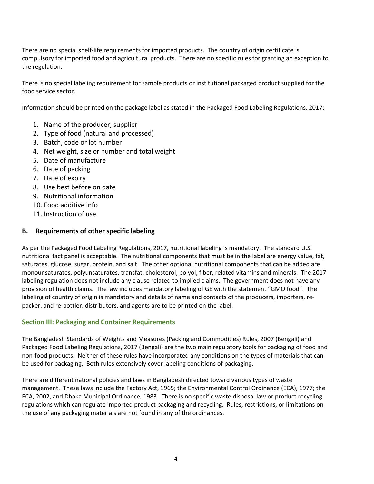There are no special shelf-life requirements for imported products. The country of origin certificate is compulsory for imported food and agricultural products. There are no specific rules for granting an exception to the regulation.

There is no special labeling requirement for sample products or institutional packaged product supplied for the food service sector.

Information should be printed on the package label as stated in the Packaged Food Labeling Regulations, 2017:

- 1. Name of the producer, supplier
- 2. Type of food (natural and processed)
- 3. Batch, code or lot number
- 4. Net weight, size or number and total weight
- 5. Date of manufacture
- 6. Date of packing
- 7. Date of expiry
- 8. Use best before on date
- 9. Nutritional information
- 10. Food additive info
- 11. Instruction of use

# **B. Requirements of other specific labeling**

As per the Packaged Food Labeling Regulations, 2017, nutritional labeling is mandatory. The standard U.S. nutritional fact panel is acceptable. The nutritional components that must be in the label are energy value, fat, saturates, glucose, sugar, protein, and salt. The other optional nutritional components that can be added are monounsaturates, polyunsaturates, transfat, cholesterol, polyol, fiber, related vitamins and minerals. The 2017 labeling regulation does not include any clause related to implied claims. The government does not have any provision of health claims. The law includes mandatory labeling of GE with the statement "GMO food". The labeling of country of origin is mandatory and details of name and contacts of the producers, importers, repacker, and re-bottler, distributors, and agents are to be printed on the label.

# **Section III: Packaging and Container Requirements**

The Bangladesh Standards of Weights and Measures (Packing and Commodities) Rules, 2007 (Bengali) and Packaged Food Labeling Regulations, 2017 (Bengali) are the two main regulatory tools for packaging of food and non-food products. Neither of these rules have incorporated any conditions on the types of materials that can be used for packaging. Both rules extensively cover labeling conditions of packaging.

There are different national policies and laws in Bangladesh directed toward various types of waste management. These laws include the Factory Act, 1965; the Environmental Control Ordinance (ECA), 1977; the ECA, 2002, and Dhaka Municipal Ordinance, 1983. There is no specific waste disposal law or product recycling regulations which can regulate imported product packaging and recycling. Rules, restrictions, or limitations on the use of any packaging materials are not found in any of the ordinances.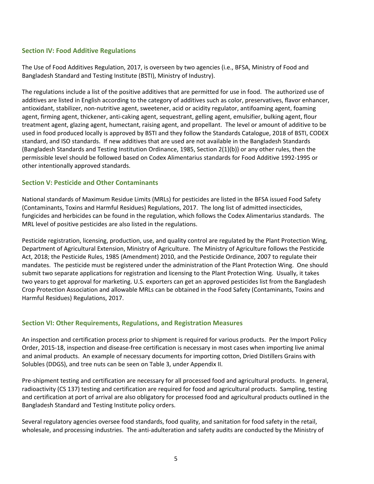# **Section IV: Food Additive Regulations**

The Use of Food Additives Regulation, 2017, is overseen by two agencies (i.e., BFSA, Ministry of Food and Bangladesh Standard and Testing Institute (BSTI), Ministry of Industry).

The regulations include a list of the positive additives that are permitted for use in food. The authorized use of additives are listed in English according to the category of additives such as color, preservatives, flavor enhancer, antioxidant, stabilizer, non-nutritive agent, sweetener, acid or acidity regulator, antifoaming agent, foaming agent, firming agent, thickener, anti-caking agent, sequestrant, gelling agent, emulsifier, bulking agent, flour treatment agent, glazing agent, humectant, raising agent, and propellant. The level or amount of additive to be used in food produced locally is approved by BSTI and they follow the Standards Catalogue, 2018 of BSTI, CODEX standard, and ISO standards. If new additives that are used are not available in the Bangladesh Standards (Bangladesh Standards and Testing Institution Ordinance, 1985, Section 2(1)(b)) or any other rules, then the permissible level should be followed based on Codex Alimentarius standards for Food Additive 1992-1995 or other intentionally approved standards.

#### **Section V: Pesticide and Other Contaminants**

National standards of Maximum Residue Limits (MRLs) for pesticides are listed in the BFSA issued Food Safety (Contaminants, Toxins and Harmful Residues) Regulations, 2017. The long list of admitted insecticides, fungicides and herbicides can be found in the regulation, which follows the Codex Alimentarius standards. The MRL level of positive pesticides are also listed in the regulations.

Pesticide registration, licensing, production, use, and quality control are regulated by the Plant Protection Wing, Department of Agricultural Extension, Ministry of Agriculture. The Ministry of Agriculture follows the Pesticide Act, 2018; the Pesticide Rules, 1985 (Amendment) 2010, and the Pesticide Ordinance, 2007 to regulate their mandates. The pesticide must be registered under the administration of the Plant Protection Wing. One should submit two separate applications for registration and licensing to the Plant Protection Wing. Usually, it takes two years to get approval for marketing. U.S. exporters can get an approved pesticides list from the Bangladesh Crop Protection Association and allowable MRLs can be obtained in the Food Safety (Contaminants, Toxins and Harmful Residues) Regulations, 2017.

#### **Section VI: Other Requirements, Regulations, and Registration Measures**

An inspection and certification process prior to shipment is required for various products. Per the Import Policy Order, 2015-18, inspection and disease-free certification is necessary in most cases when importing live animal and animal products. An example of necessary documents for importing cotton, Dried Distillers Grains with Solubles (DDGS), and tree nuts can be seen on Table 3, under Appendix II.

Pre-shipment testing and certification are necessary for all processed food and agricultural products. In general, radioactivity (CS 137) testing and certification are required for food and agricultural products. Sampling, testing and certification at port of arrival are also obligatory for processed food and agricultural products outlined in the Bangladesh Standard and Testing Institute policy orders.

Several regulatory agencies oversee food standards, food quality, and sanitation for food safety in the retail, wholesale, and processing industries. The anti-adulteration and safety audits are conducted by the Ministry of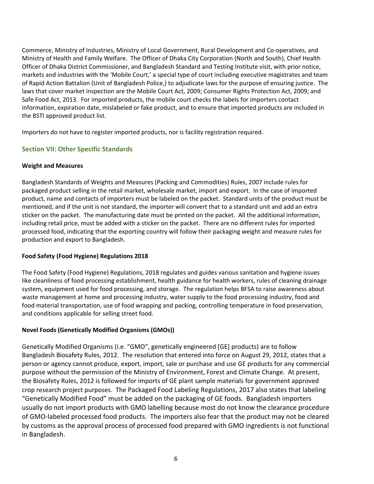Commerce, Ministry of Industries, Ministry of Local Government, Rural Development and Co-operatives, and Ministry of Health and Family Welfare. The Officer of Dhaka City Corporation (North and South), Chief Health Officer of Dhaka District Commissioner, and Bangladesh Standard and Testing Institute visit, with prior notice, markets and industries with the 'Mobile Court,' a special type of court including executive magistrates and team of Rapid Action Battalion (Unit of Bangladesh Police,) to adjudicate laws for the purpose of ensuring justice. The laws that cover market inspection are the Mobile Court Act, 2009; Consumer Rights Protection Act, 2009; and Safe Food Act, 2013. For imported products, the mobile court checks the labels for importers contact information, expiration date, mislabeled or fake product, and to ensure that imported products are included in the BSTI approved product list.

Importers do not have to register imported products, nor is facility registration required.

# **Section VII: Other Specific Standards**

#### **Weight and Measures**

Bangladesh Standards of Weights and Measures (Packing and Commodities) Rules, 2007 include rules for packaged product selling in the retail market, wholesale market, import and export. In the case of imported product, name and contacts of importers must be labeled on the packet. Standard units of the product must be mentioned, and if the unit is not standard, the importer will convert that to a standard unit and add an extra sticker on the packet. The manufacturing date must be printed on the packet. All the additional information, including retail price, must be added with a sticker on the packet. There are no different rules for imported processed food, indicating that the exporting country will follow their packaging weight and measure rules for production and export to Bangladesh.

# **Food Safety (Food Hygiene) Regulations 2018**

The Food Safety (Food Hygiene) Regulations, 2018 regulates and guides various sanitation and hygiene issues like cleanliness of food processing establishment, health guidance for health workers, rules of cleaning drainage system, equipment used for food processing, and storage. The regulation helps BFSA to raise awareness about waste management at home and processing industry, water supply to the food processing industry, food and food material transportation, use of food wrapping and packing, controlling temperature in food preservation, and conditions applicable for selling street food.

# **Novel Foods (Genetically Modified Organisms (GMOs))**

Genetically Modified Organisms (i.e. "GMO", genetically engineered [GE] products) are to follow Bangladesh Biosafety Rules, 2012. The resolution that entered into force on August 29, 2012, states that a person or agency cannot produce, export, import, sale or purchase and use GE products for any commercial purpose without the permission of the Ministry of Environment, Forest and Climate Change. At present, the Biosafety Rules, 2012 is followed for imports of GE plant sample materials for government approved crop research project purposes. The Packaged Food Labeling Regulations, 2017 also states that labeling "Genetically Modified Food" must be added on the packaging of GE foods. Bangladesh importers usually do not import products with GMO labelling because most do not know the clearance procedure of GMO-labeled processed food products. The importers also fear that the product may not be cleared by customs as the approval process of processed food prepared with GMO ingredients is not functional in Bangladesh.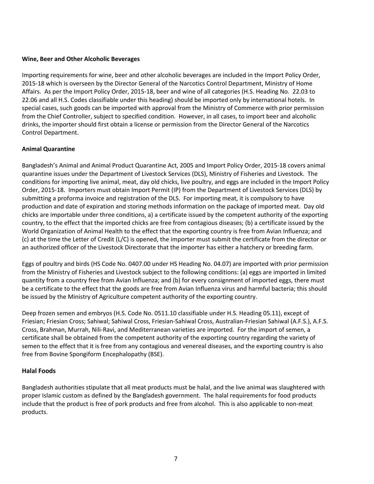#### **Wine, Beer and Other Alcoholic Beverages**

Importing requirements for wine, beer and other alcoholic beverages are included in the Import Policy Order, 2015-18 which is overseen by the Director General of the Narcotics Control Department, Ministry of Home Affairs. As per the Import Policy Order, 2015-18, beer and wine of all categories (H.S. Heading No. 22.03 to 22.06 and all H.S. Codes classifiable under this heading) should be imported only by international hotels. In special cases, such goods can be imported with approval from the Ministry of Commerce with prior permission from the Chief Controller, subject to specified condition. However, in all cases, to import beer and alcoholic drinks, the importer should first obtain a license or permission from the Director General of the Narcotics Control Department.

#### **Animal Quarantine**

Bangladesh's Animal and Animal Product Quarantine Act, 2005 and Import Policy Order, 2015-18 covers animal quarantine issues under the Department of Livestock Services (DLS), Ministry of Fisheries and Livestock. The conditions for importing live animal, meat, day old chicks, live poultry, and eggs are included in the Import Policy Order, 2015-18. Importers must obtain Import Permit (IP) from the Department of Livestock Services (DLS) by submitting a proforma invoice and registration of the DLS. For importing meat, it is compulsory to have production and date of expiration and storing methods information on the package of imported meat. Day old chicks are importable under three conditions, a) a certificate issued by the competent authority of the exporting country, to the effect that the imported chicks are free from contagious diseases; (b) a certificate issued by the World Organization of Animal Health to the effect that the exporting country is free from Avian Influenza; and (c) at the time the Letter of Credit (L/C) is opened, the importer must submit the certificate from the director or an authorized officer of the Livestock Directorate that the importer has either a hatchery or breeding farm.

Eggs of poultry and birds (HS Code No. 0407.00 under HS Heading No. 04.07) are imported with prior permission from the Ministry of Fisheries and Livestock subject to the following conditions: (a) eggs are imported in limited quantity from a country free from Avian Influenza; and (b) for every consignment of imported eggs, there must be a certificate to the effect that the goods are free from Avian Influenza virus and harmful bacteria; this should be issued by the Ministry of Agriculture competent authority of the exporting country.

Deep frozen semen and embryos (H.S. Code No. 0511.10 classifiable under H.S. Heading 05.11), except of Friesian; Friesian Cross; Sahiwal; Sahiwal Cross, Friesian-Sahiwal Cross, Australian-Friesian Sahiwal (A.F.S.), A.F.S. Cross, Brahman, Murrah, Nili-Ravi, and Mediterranean varieties are imported. For the import of semen, a certificate shall be obtained from the competent authority of the exporting country regarding the variety of semen to the effect that it is free from any contagious and venereal diseases, and the exporting country is also free from Bovine Spongiform Encephalopathy (BSE).

#### **Halal Foods**

Bangladesh authorities stipulate that all meat products must be halal, and the live animal was slaughtered with proper Islamic custom as defined by the Bangladesh government. The halal requirements for food products include that the product is free of pork products and free from alcohol. This is also applicable to non-meat products.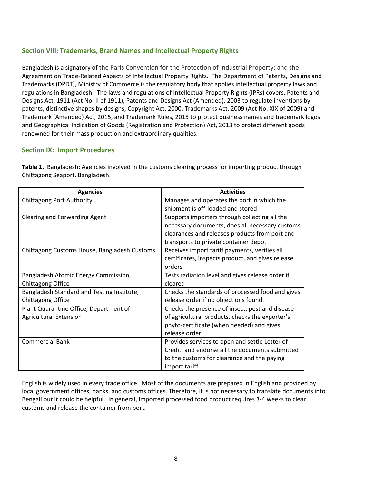# **Section VIII: Trademarks, Brand Names and Intellectual Property Rights**

Bangladesh is a signatory of the Paris Convention for the Protection of Industrial Property; and the Agreement on Trade-Related Aspects of Intellectual Property Rights. The Department of Patents, Designs and Trademarks (DPDT), Ministry of Commerce is the regulatory body that applies intellectual property laws and regulations in Bangladesh. The laws and regulations of Intellectual Property Rights (IPRs) covers, Patents and Designs Act, 1911 (Act No. II of 1911), Patents and Designs Act (Amended), 2003 to regulate inventions by patents, distinctive shapes by designs; Copyright Act, 2000; Trademarks Act, 2009 (Act No. XIX of 2009) and Trademark (Amended) Act, 2015, and Trademark Rules, 2015 to protect business names and trademark logos and Geographical Indication of Goods (Registration and Protection) Act, 2013 to protect different goods renowned for their mass production and extraordinary qualities.

#### **Section IX: Import Procedures**

**Table 1.** Bangladesh: Agencies involved in the customs clearing process for importing product through Chittagong Seaport, Bangladesh.

| <b>Agencies</b>                              | <b>Activities</b>                                 |
|----------------------------------------------|---------------------------------------------------|
| <b>Chittagong Port Authority</b>             | Manages and operates the port in which the        |
|                                              | shipment is off-loaded and stored                 |
| Clearing and Forwarding Agent                | Supports importers through collecting all the     |
|                                              | necessary documents, does all necessary customs   |
|                                              | clearances and releases products from port and    |
|                                              | transports to private container depot             |
| Chittagong Customs House, Bangladesh Customs | Receives import tariff payments, verifies all     |
|                                              | certificates, inspects product, and gives release |
|                                              | orders                                            |
| Bangladesh Atomic Energy Commission,         | Tests radiation level and gives release order if  |
| Chittagong Office                            | cleared                                           |
| Bangladesh Standard and Testing Institute,   | Checks the standards of processed food and gives  |
| Chittagong Office                            | release order if no objections found.             |
| Plant Quarantine Office, Department of       | Checks the presence of insect, pest and disease   |
| <b>Agricultural Extension</b>                | of agricultural products, checks the exporter's   |
|                                              | phyto-certificate (when needed) and gives         |
|                                              | release order.                                    |
| <b>Commercial Bank</b>                       | Provides services to open and settle Letter of    |
|                                              | Credit, and endorse all the documents submitted   |
|                                              | to the customs for clearance and the paying       |
|                                              | import tariff                                     |

English is widely used in every trade office. Most of the documents are prepared in English and provided by local government offices, banks, and customs offices. Therefore, it is not necessary to translate documents into Bengali but it could be helpful. In general, imported processed food product requires 3-4 weeks to clear customs and release the container from port.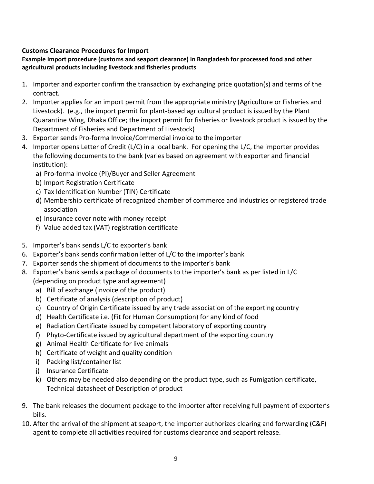# **Customs Clearance Procedures for Import**

# **Example Import procedure (customs and seaport clearance) in Bangladesh for processed food and other agricultural products including livestock and fisheries products**

- 1. Importer and exporter confirm the transaction by exchanging price quotation(s) and terms of the contract.
- 2. Importer applies for an import permit from the appropriate ministry (Agriculture or Fisheries and Livestock). (e.g., the import permit for plant-based agricultural product is issued by the Plant Quarantine Wing, Dhaka Office; the import permit for fisheries or livestock product is issued by the Department of Fisheries and Department of Livestock)
- 3. Exporter sends Pro-forma Invoice/Commercial invoice to the importer
- 4. Importer opens Letter of Credit (L/C) in a local bank. For opening the L/C, the importer provides the following documents to the bank (varies based on agreement with exporter and financial institution):
	- a) Pro-forma Invoice (PI)/Buyer and Seller Agreement
	- b) Import Registration Certificate
	- c) Tax Identification Number (TIN) Certificate
	- d) Membership certificate of recognized chamber of commerce and industries or registered trade association
	- e) Insurance cover note with money receipt
	- f) Value added tax (VAT) registration certificate
- 5. Importer's bank sends L/C to exporter's bank
- 6. Exporter's bank sends confirmation letter of L/C to the importer's bank
- 7. Exporter sends the shipment of documents to the importer's bank
- 8. Exporter's bank sends a package of documents to the importer's bank as per listed in L/C (depending on product type and agreement)
	- a) Bill of exchange (invoice of the product)
	- b) Certificate of analysis (description of product)
	- c) Country of Origin Certificate issued by any trade association of the exporting country
	- d) Health Certificate i.e. (Fit for Human Consumption) for any kind of food
	- e) Radiation Certificate issued by competent laboratory of exporting country
	- f) Phyto-Certificate issued by agricultural department of the exporting country
	- g) Animal Health Certificate for live animals
	- h) Certificate of weight and quality condition
	- i) Packing list/container list
	- j) Insurance Certificate
	- k) Others may be needed also depending on the product type, such as Fumigation certificate, Technical datasheet of Description of product
- 9. The bank releases the document package to the importer after receiving full payment of exporter's bills.
- 10. After the arrival of the shipment at seaport, the importer authorizes clearing and forwarding (C&F) agent to complete all activities required for customs clearance and seaport release.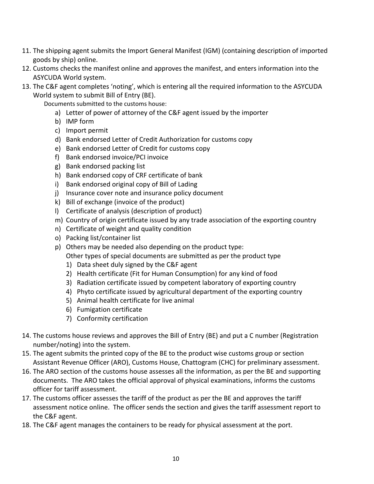- 11. The shipping agent submits the Import General Manifest (IGM) (containing description of imported goods by ship) online.
- 12. Customs checks the manifest online and approves the manifest, and enters information into the ASYCUDA World system.
- 13. The C&F agent completes 'noting', which is entering all the required information to the ASYCUDA World system to submit Bill of Entry (BE).

Documents submitted to the customs house:

- a) Letter of power of attorney of the C&F agent issued by the importer
- b) IMP form
- c) Import permit
- d) Bank endorsed Letter of Credit Authorization for customs copy
- e) Bank endorsed Letter of Credit for customs copy
- f) Bank endorsed invoice/PCI invoice
- g) Bank endorsed packing list
- h) Bank endorsed copy of CRF certificate of bank
- i) Bank endorsed original copy of Bill of Lading
- j) Insurance cover note and insurance policy document
- k) Bill of exchange (invoice of the product)
- l) Certificate of analysis (description of product)
- m) Country of origin certificate issued by any trade association of the exporting country
- n) Certificate of weight and quality condition
- o) Packing list/container list
- p) Others may be needed also depending on the product type: Other types of special documents are submitted as per the product type
	- 1) Data sheet duly signed by the C&F agent
	- 2) Health certificate (Fit for Human Consumption) for any kind of food
	- 3) Radiation certificate issued by competent laboratory of exporting country
	- 4) Phyto certificate issued by agricultural department of the exporting country
	- 5) Animal health certificate for live animal
	- 6) Fumigation certificate
	- 7) Conformity certification
- 14. The customs house reviews and approves the Bill of Entry (BE) and put a C number (Registration number/noting) into the system.
- 15. The agent submits the printed copy of the BE to the product wise customs group or section Assistant Revenue Officer (ARO), Customs House, Chattogram (CHC) for preliminary assessment.
- 16. The ARO section of the customs house assesses all the information, as per the BE and supporting documents. The ARO takes the official approval of physical examinations, informs the customs officer for tariff assessment.
- 17. The customs officer assesses the tariff of the product as per the BE and approves the tariff assessment notice online. The officer sends the section and gives the tariff assessment report to the C&F agent.
- 18. The C&F agent manages the containers to be ready for physical assessment at the port.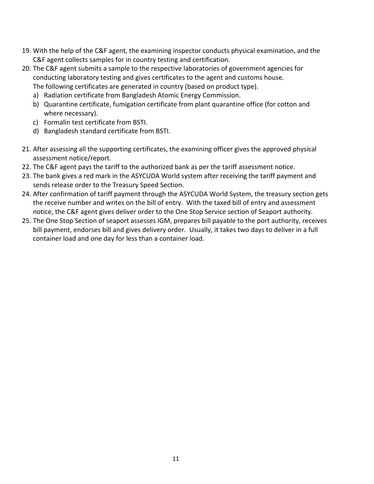- 19. With the help of the C&F agent, the examining inspector conducts physical examination, and the C&F agent collects samples for in country testing and certification.
- 20. The C&F agent submits a sample to the respective laboratories of government agencies for conducting laboratory testing and gives certificates to the agent and customs house. The following certificates are generated in country (based on product type).
	- a) Radiation certificate from Bangladesh Atomic Energy Commission.
	- b) Quarantine certificate, fumigation certificate from plant quarantine office (for cotton and where necessary).
	- c) Formalin test certificate from BSTI.
	- d) Bangladesh standard certificate from BSTI.
- 21. After assessing all the supporting certificates, the examining officer gives the approved physical assessment notice/report.
- 22. The C&F agent pays the tariff to the authorized bank as per the tariff assessment notice.
- 23. The bank gives a red mark in the ASYCUDA World system after receiving the tariff payment and sends release order to the Treasury Speed Section.
- 24. After confirmation of tariff payment through the ASYCUDA World System, the treasury section gets the receive number and writes on the bill of entry. With the taxed bill of entry and assessment notice, the C&F agent gives deliver order to the One Stop Service section of Seaport authority.
- 25. The One Stop Section of seaport assesses IGM, prepares bill payable to the port authority, receives bill payment, endorses bill and gives delivery order. Usually, it takes two days to deliver in a full container load and one day for less than a container load.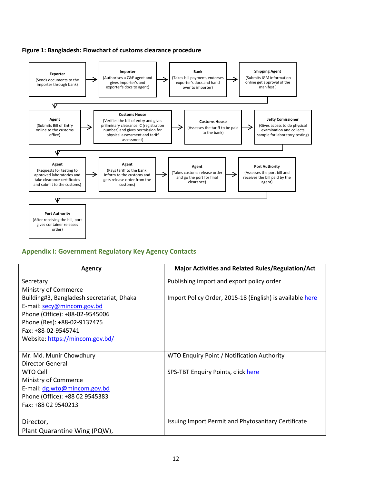



# **Appendix I: Government Regulatory Key Agency Contacts**

| <b>Agency</b>                             | <b>Major Activities and Related Rules/Regulation/Act</b> |
|-------------------------------------------|----------------------------------------------------------|
| Secretary                                 | Publishing import and export policy order                |
| Ministry of Commerce                      |                                                          |
| Building#3, Bangladesh secretariat, Dhaka | Import Policy Order, 2015-18 (English) is available here |
| E-mail: secy@mincom.gov.bd                |                                                          |
| Phone (Office): +88-02-9545006            |                                                          |
| Phone (Res): +88-02-9137475               |                                                          |
| Fax: +88-02-9545741                       |                                                          |
| Website: https://mincom.gov.bd/           |                                                          |
|                                           |                                                          |
| Mr. Md. Munir Chowdhury                   | WTO Enquiry Point / Notification Authority               |
| Director General                          |                                                          |
| <b>WTO Cell</b>                           | SPS-TBT Enquiry Points, click here                       |
| Ministry of Commerce                      |                                                          |
| E-mail: dg.wto@mincom.gov.bd              |                                                          |
| Phone (Office): +88 02 9545383            |                                                          |
| Fax: +88 02 9540213                       |                                                          |
|                                           |                                                          |
| Director,                                 | Issuing Import Permit and Phytosanitary Certificate      |
| Plant Quarantine Wing (PQW),              |                                                          |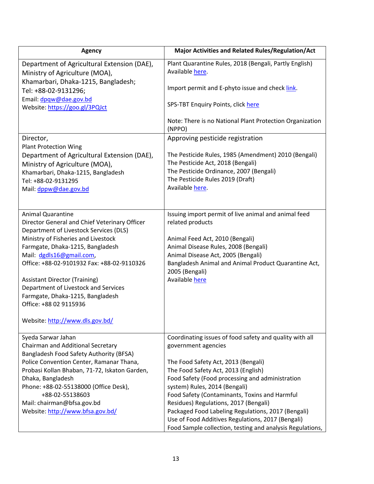| <b>Agency</b>                                                                                                                                                                                                                                                                                                                                                                                                                                             | <b>Major Activities and Related Rules/Regulation/Act</b>                                                                                                                                                                                                                                                                                                                                                                                                                                                           |
|-----------------------------------------------------------------------------------------------------------------------------------------------------------------------------------------------------------------------------------------------------------------------------------------------------------------------------------------------------------------------------------------------------------------------------------------------------------|--------------------------------------------------------------------------------------------------------------------------------------------------------------------------------------------------------------------------------------------------------------------------------------------------------------------------------------------------------------------------------------------------------------------------------------------------------------------------------------------------------------------|
| Department of Agricultural Extension (DAE),<br>Ministry of Agriculture (MOA),                                                                                                                                                                                                                                                                                                                                                                             | Plant Quarantine Rules, 2018 (Bengali, Partly English)<br>Available here.                                                                                                                                                                                                                                                                                                                                                                                                                                          |
| Khamarbari, Dhaka-1215, Bangladesh;<br>Tel: +88-02-9131296;                                                                                                                                                                                                                                                                                                                                                                                               | Import permit and E-phyto issue and check link.                                                                                                                                                                                                                                                                                                                                                                                                                                                                    |
| Email: dpqw@dae.gov.bd<br>Website: https://goo.gl/3PQJct                                                                                                                                                                                                                                                                                                                                                                                                  | SPS-TBT Enquiry Points, click here                                                                                                                                                                                                                                                                                                                                                                                                                                                                                 |
|                                                                                                                                                                                                                                                                                                                                                                                                                                                           | Note: There is no National Plant Protection Organization<br>(NPPO)                                                                                                                                                                                                                                                                                                                                                                                                                                                 |
| Director,<br><b>Plant Protection Wing</b>                                                                                                                                                                                                                                                                                                                                                                                                                 | Approving pesticide registration                                                                                                                                                                                                                                                                                                                                                                                                                                                                                   |
| Department of Agricultural Extension (DAE),<br>Ministry of Agriculture (MOA),<br>Khamarbari, Dhaka-1215, Bangladesh<br>Tel: +88-02-9131295<br>Mail: dppw@dae.gov.bd                                                                                                                                                                                                                                                                                       | The Pesticide Rules, 1985 (Amendment) 2010 (Bengali)<br>The Pesticide Act, 2018 (Bengali)<br>The Pesticide Ordinance, 2007 (Bengali)<br>The Pesticide Rules 2019 (Draft)<br>Available here.                                                                                                                                                                                                                                                                                                                        |
| <b>Animal Quarantine</b><br>Director General and Chief Veterinary Officer<br>Department of Livestock Services (DLS)<br>Ministry of Fisheries and Livestock<br>Farmgate, Dhaka-1215, Bangladesh<br>Mail: dgdls16@gmail.com,<br>Office: +88-02-9101932 Fax: +88-02-9110326<br><b>Assistant Director (Training)</b><br>Department of Livestock and Services<br>Farmgate, Dhaka-1215, Bangladesh<br>Office: +88 02 9115936<br>Website: http://www.dls.gov.bd/ | Issuing import permit of live animal and animal feed<br>related products<br>Animal Feed Act, 2010 (Bengali)<br>Animal Disease Rules, 2008 (Bengali)<br>Animal Disease Act, 2005 (Bengali)<br>Bangladesh Animal and Animal Product Quarantine Act,<br>2005 (Bengali)<br>Available here                                                                                                                                                                                                                              |
| Syeda Sarwar Jahan<br>Chairman and Additional Secretary<br>Bangladesh Food Safety Authority (BFSA)<br>Police Convention Center, Ramanar Thana,<br>Probasi Kollan Bhaban, 71-72, Iskaton Garden,<br>Dhaka, Bangladesh<br>Phone: +88-02-55138000 (Office Desk),<br>+88-02-55138603<br>Mail: chairman@bfsa.gov.bd<br>Website: http://www.bfsa.gov.bd/                                                                                                        | Coordinating issues of food safety and quality with all<br>government agencies<br>The Food Safety Act, 2013 (Bengali)<br>The Food Safety Act, 2013 (English)<br>Food Safety (Food processing and administration<br>system) Rules, 2014 (Bengali)<br>Food Safety (Contaminants, Toxins and Harmful<br>Residues) Regulations, 2017 (Bengali)<br>Packaged Food Labeling Regulations, 2017 (Bengali)<br>Use of Food Additives Regulations, 2017 (Bengali)<br>Food Sample collection, testing and analysis Regulations, |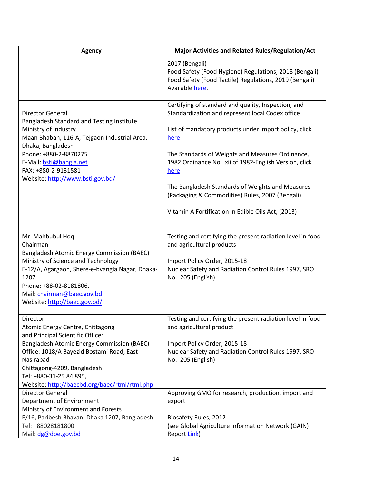| <b>Agency</b>                                                                                                                                                                                                                                                                                       | <b>Major Activities and Related Rules/Regulation/Act</b>                                                                                                                                                                                                                                                                                                                                                                                                   |
|-----------------------------------------------------------------------------------------------------------------------------------------------------------------------------------------------------------------------------------------------------------------------------------------------------|------------------------------------------------------------------------------------------------------------------------------------------------------------------------------------------------------------------------------------------------------------------------------------------------------------------------------------------------------------------------------------------------------------------------------------------------------------|
|                                                                                                                                                                                                                                                                                                     | 2017 (Bengali)<br>Food Safety (Food Hygiene) Regulations, 2018 (Bengali)<br>Food Safety (Food Tactile) Regulations, 2019 (Bengali)<br>Available here.                                                                                                                                                                                                                                                                                                      |
| <b>Director General</b><br>Bangladesh Standard and Testing Institute<br>Ministry of Industry<br>Maan Bhaban, 116-A, Tejgaon Industrial Area,<br>Dhaka, Bangladesh<br>Phone: +880-2-8870275<br>E-Mail: bsti@bangla.net<br>FAX: +880-2-9131581<br>Website: http://www.bsti.gov.bd/                    | Certifying of standard and quality, Inspection, and<br>Standardization and represent local Codex office<br>List of mandatory products under import policy, click<br>here<br>The Standards of Weights and Measures Ordinance,<br>1982 Ordinance No. xii of 1982-English Version, click<br>here<br>The Bangladesh Standards of Weights and Measures<br>(Packaging & Commodities) Rules, 2007 (Bengali)<br>Vitamin A Fortification in Edible Oils Act, (2013) |
| Mr. Mahbubul Hoq<br>Chairman<br>Bangladesh Atomic Energy Commission (BAEC)<br>Ministry of Science and Technology<br>E-12/A, Agargaon, Shere-e-bvangla Nagar, Dhaka-<br>1207<br>Phone: +88-02-8181806,<br>Mail: chairman@baec.gov.bd<br>Website: http://baec.gov.bd/                                 | Testing and certifying the present radiation level in food<br>and agricultural products<br>Import Policy Order, 2015-18<br>Nuclear Safety and Radiation Control Rules 1997, SRO<br>No. 205 (English)                                                                                                                                                                                                                                                       |
| Director<br>Atomic Energy Centre, Chittagong<br>and Principal Scientific Officer<br>Bangladesh Atomic Energy Commission (BAEC)<br>Office: 1018/A Bayezid Bostami Road, East<br>Nasirabad<br>Chittagong-4209, Bangladesh<br>Tel: +880-31-25 84 895,<br>Website: http://baecbd.org/baec/rtml/rtml.php | Testing and certifying the present radiation level in food<br>and agricultural product<br>Import Policy Order, 2015-18<br>Nuclear Safety and Radiation Control Rules 1997, SRO<br>No. 205 (English)                                                                                                                                                                                                                                                        |
| Director General<br>Department of Environment<br>Ministry of Environment and Forests<br>E/16, Paribesh Bhavan, Dhaka 1207, Bangladesh<br>Tel: +88028181800<br>Mail: dg@doe.gov.bd                                                                                                                   | Approving GMO for research, production, import and<br>export<br>Biosafety Rules, 2012<br>(see Global Agriculture Information Network (GAIN)<br>Report Link)                                                                                                                                                                                                                                                                                                |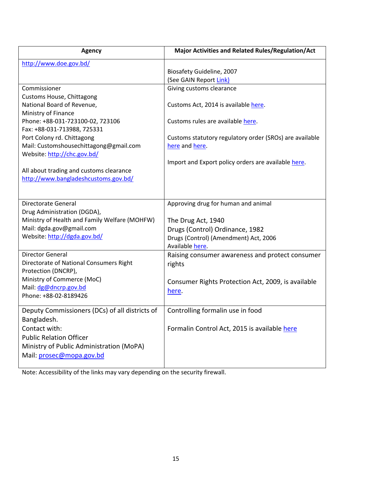| <b>Agency</b>                                  | <b>Major Activities and Related Rules/Regulation/Act</b> |
|------------------------------------------------|----------------------------------------------------------|
| http://www.doe.gov.bd/                         |                                                          |
|                                                | Biosafety Guideline, 2007                                |
|                                                | (See GAIN Report Link)                                   |
| Commissioner                                   | Giving customs clearance                                 |
| Customs House, Chittagong                      |                                                          |
| National Board of Revenue,                     | Customs Act, 2014 is available here.                     |
| Ministry of Finance                            |                                                          |
| Phone: +88-031-723100-02, 723106               | Customs rules are available here.                        |
| Fax: +88-031-713988, 725331                    |                                                          |
| Port Colony rd. Chittagong                     | Customs statutory regulatory order (SROs) are available  |
| Mail: Customshousechittagong@gmail.com         | here and here.                                           |
| Website: http://chc.gov.bd/                    |                                                          |
| All about trading and customs clearance        | Import and Export policy orders are available here.      |
| http://www.bangladeshcustoms.gov.bd/           |                                                          |
|                                                |                                                          |
|                                                |                                                          |
| Directorate General                            | Approving drug for human and animal                      |
| Drug Administration (DGDA),                    |                                                          |
| Ministry of Health and Family Welfare (MOHFW)  | The Drug Act, 1940                                       |
| Mail: dgda.gov@gmail.com                       | Drugs (Control) Ordinance, 1982                          |
| Website: http://dgda.gov.bd/                   | Drugs (Control) (Amendment) Act, 2006                    |
|                                                | Available here.                                          |
| <b>Director General</b>                        | Raising consumer awareness and protect consumer          |
| Directorate of National Consumers Right        | rights                                                   |
| Protection (DNCRP),                            |                                                          |
| Ministry of Commerce (MoC)                     | Consumer Rights Protection Act, 2009, is available       |
| Mail: dg@dncrp.gov.bd                          | here.                                                    |
| Phone: +88-02-8189426                          |                                                          |
| Deputy Commissioners (DCs) of all districts of | Controlling formalin use in food                         |
|                                                |                                                          |
| Bangladesh.<br>Contact with:                   | Formalin Control Act, 2015 is available here             |
|                                                |                                                          |
| <b>Public Relation Officer</b>                 |                                                          |
| Ministry of Public Administration (MoPA)       |                                                          |
| Mail: prosec@mopa.gov.bd                       |                                                          |
|                                                |                                                          |

Note: Accessibility of the links may vary depending on the security firewall.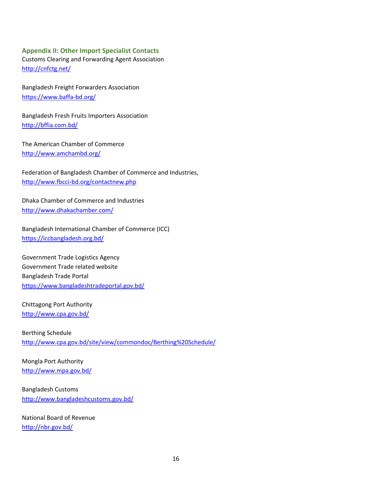# **Appendix II: Other Import Specialist Contacts** Customs Clearing and Forwarding Agent Association

<http://cnfctg.net/>

Bangladesh Freight Forwarders Association <https://www.baffa-bd.org/>

Bangladesh Fresh Fruits Importers Association <http://bffia.com.bd/>

The American Chamber of Commerce <http://www.amchambd.org/>

[Federation of Bangladesh Chamber of Commerce and Industries](http://www.fbcci-bd.org/fbcci/index.php), <http://www.fbcci-bd.org/contactnew.php>

Dhaka Chamber of Commerce and Industries http://www.dhakachamber.com/

Bangladesh International Chamber of Commerce (ICC) <https://iccbangladesh.org.bd/>

Government Trade Logistics Agency Government Trade related website Bangladesh Trade Portal <https://www.bangladeshtradeportal.gov.bd/>

Chittagong Port Authority <http://www.cpa.gov.bd/>

Berthing Schedule <http://www.cpa.gov.bd/site/view/commondoc/Berthing%20Schedule/>

Mongla Port Authority <http://www.mpa.gov.bd/>

Bangladesh Customs <http://www.bangladeshcustoms.gov.bd/>

National Board of Revenue <http://nbr.gov.bd/>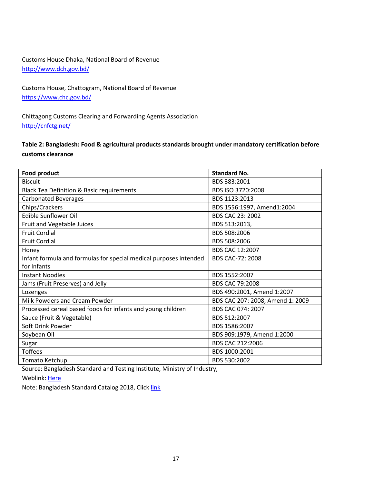# Customs House Dhaka, National Board of Revenue <http://www.dch.gov.bd/>

Customs House, Chattogram, National Board of Revenue <https://www.chc.gov.bd/>

Chittagong Customs Clearing and Forwarding Agents Association <http://cnfctg.net/>

# **Table 2: Bangladesh: Food & agricultural products standards brought under mandatory certification before customs clearance**

| Food product                                                      | <b>Standard No.</b>              |
|-------------------------------------------------------------------|----------------------------------|
| <b>Biscuit</b>                                                    | BDS 383:2001                     |
| <b>Black Tea Definition &amp; Basic requirements</b>              | BDS ISO 3720:2008                |
| <b>Carbonated Beverages</b>                                       | BDS 1123:2013                    |
| Chips/Crackers                                                    | BDS 1556:1997, Amend1:2004       |
| <b>Edible Sunflower Oil</b>                                       | BDS CAC 23: 2002                 |
| Fruit and Vegetable Juices                                        | BDS 513:2013,                    |
| <b>Fruit Cordial</b>                                              | BDS 508:2006                     |
| <b>Fruit Cordial</b>                                              | BDS 508:2006                     |
| Honey                                                             | BDS CAC 12:2007                  |
| Infant formula and formulas for special medical purposes intended | BDS CAC-72: 2008                 |
| for Infants                                                       |                                  |
| <b>Instant Noodles</b>                                            | BDS 1552:2007                    |
| Jams (Fruit Preserves) and Jelly                                  | <b>BDS CAC 79:2008</b>           |
| Lozenges                                                          | BDS 490:2001, Amend 1:2007       |
| Milk Powders and Cream Powder                                     | BDS CAC 207: 2008, Amend 1: 2009 |
| Processed cereal based foods for infants and young children       | BDS CAC 074: 2007                |
| Sauce (Fruit & Vegetable)                                         | BDS 512:2007                     |
| Soft Drink Powder                                                 | BDS 1586:2007                    |
| Soybean Oil                                                       | BDS 909:1979, Amend 1:2000       |
| Sugar                                                             | BDS CAC 212:2006                 |
| <b>Toffees</b>                                                    | BDS 1000:2001                    |
| Tomato Ketchup                                                    | BDS 530:2002                     |

Source: Bangladesh Standard and Testing Institute, Ministry of Industry,

Weblink: [Here](http://www.bsti.gov.bd/site/page/de9acc2b-2399-45f3-a5e1-237025cd2698/List-of-the-Mandatory-Products-Under-Import-Policy-Order)

Note: Bangladesh Standard Catalog 2018, Click [link](http://www.bsti.gov.bd/site/page/d5235f4d-9528-45cd-89b1-9930ff0d1c6b/Standards-Catalouge-2018)